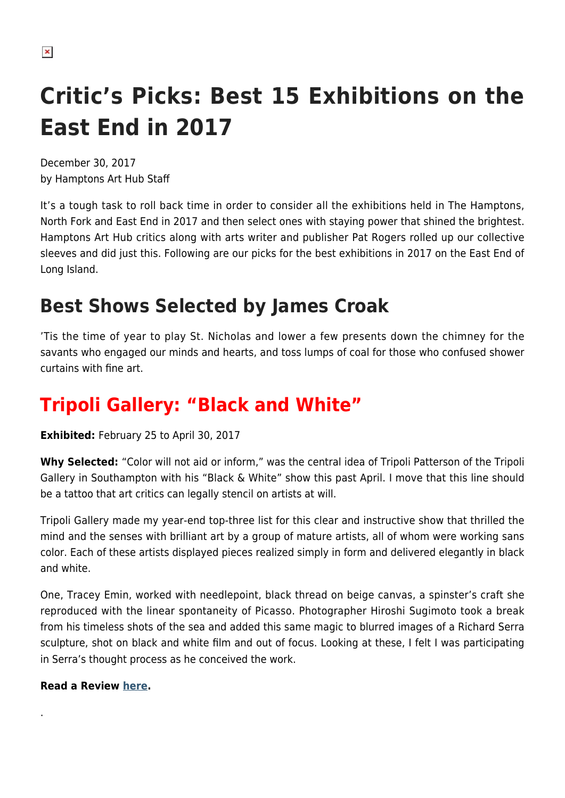# **Critic's Picks: Best 15 Exhibitions on the East End in 2017**

December 30, 2017 by Hamptons Art Hub Staff

It's a tough task to roll back time in order to consider all the exhibitions held in The Hamptons, North Fork and East End in 2017 and then select ones with staying power that shined the brightest. Hamptons Art Hub critics along with arts writer and publisher Pat Rogers rolled up our collective sleeves and did just this. Following are our picks for the best exhibitions in 2017 on the East End of Long Island.

### **Best Shows Selected by James Croak**

'Tis the time of year to play St. Nicholas and lower a few presents down the chimney for the savants who engaged our minds and hearts, and toss lumps of coal for those who confused shower curtains with fine art.

### **Tripoli Gallery: "Black and White"**

**Exhibited:** February 25 to April 30, 2017

**Why Selected:** "Color will not aid or inform," was the central idea of Tripoli Patterson of the Tripoli Gallery in Southampton with his "Black & White" show this past April. I move that this line should be a tattoo that art critics can legally stencil on artists at will.

Tripoli Gallery made my year-end top-three list for this clear and instructive show that thrilled the mind and the senses with brilliant art by a group of mature artists, all of whom were working sans color. Each of these artists displayed pieces realized simply in form and delivered elegantly in black and white.

One, Tracey Emin, worked with needlepoint, black thread on beige canvas, a spinster's craft she reproduced with the linear spontaneity of Picasso. Photographer Hiroshi Sugimoto took a break from his timeless shots of the sea and added this same magic to blurred images of a Richard Serra sculpture, shot on black and white film and out of focus. Looking at these, I felt I was participating in Serra's thought process as he conceived the work.

#### **Read a Review [here.](https://hamptonsarthub.com/2017/04/04/reviews-art-review-in-black-white-show-at-tripoli-art-activated-with-idea/)**

.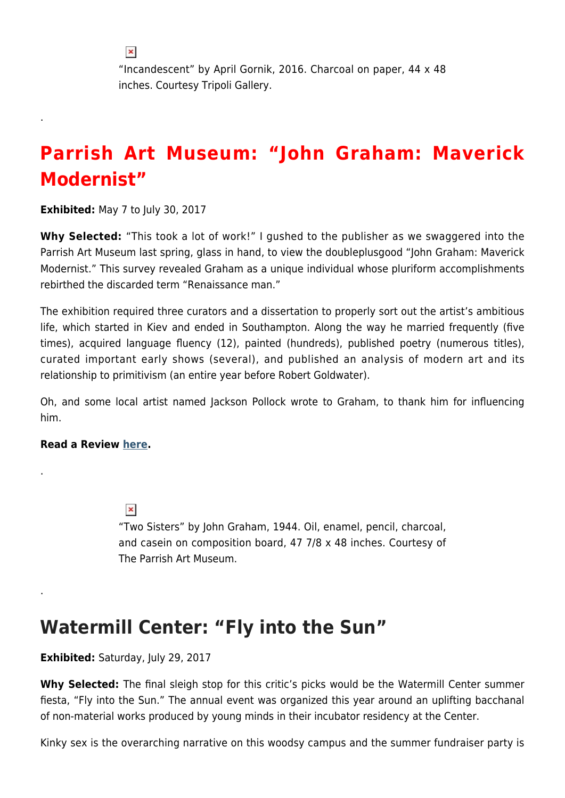"Incandescent" by April Gornik, 2016. Charcoal on paper, 44 x 48 inches. Courtesy Tripoli Gallery.

### **Parrish Art Museum: "John Graham: Maverick Modernist"**

**Exhibited:** May 7 to July 30, 2017

.

**Why Selected:** "This took a lot of work!" I gushed to the publisher as we swaggered into the Parrish Art Museum last spring, glass in hand, to view the doubleplusgood "John Graham: Maverick Modernist." This survey revealed Graham as a unique individual whose pluriform accomplishments rebirthed the discarded term "Renaissance man."

The exhibition required three curators and a dissertation to properly sort out the artist's ambitious life, which started in Kiev and ended in Southampton. Along the way he married frequently (five times), acquired language fluency (12), painted (hundreds), published poetry (numerous titles), curated important early shows (several), and published an analysis of modern art and its relationship to primitivism (an entire year before Robert Goldwater).

Oh, and some local artist named Jackson Pollock wrote to Graham, to thank him for influencing him.

#### **Read a Review [here.](https://hamptonsarthub.com/2017/05/22/reviews-art-review-john-graham-revealed-as-a-modernist-polymath-ahead-of-his-time/)**

.

.

 $\pmb{\times}$ "Two Sisters" by John Graham, 1944. Oil, enamel, pencil, charcoal, and casein on composition board, 47 7/8 x 48 inches. Courtesy of The Parrish Art Museum.

### **Watermill Center: "Fly into the Sun"**

#### **Exhibited:** Saturday, July 29, 2017

**Why Selected:** The final sleigh stop for this critic's picks would be the Watermill Center summer fiesta, "Fly into the Sun." The annual event was organized this year around an uplifting bacchanal of non-material works produced by young minds in their incubator residency at the Center.

Kinky sex is the overarching narrative on this woodsy campus and the summer fundraiser party is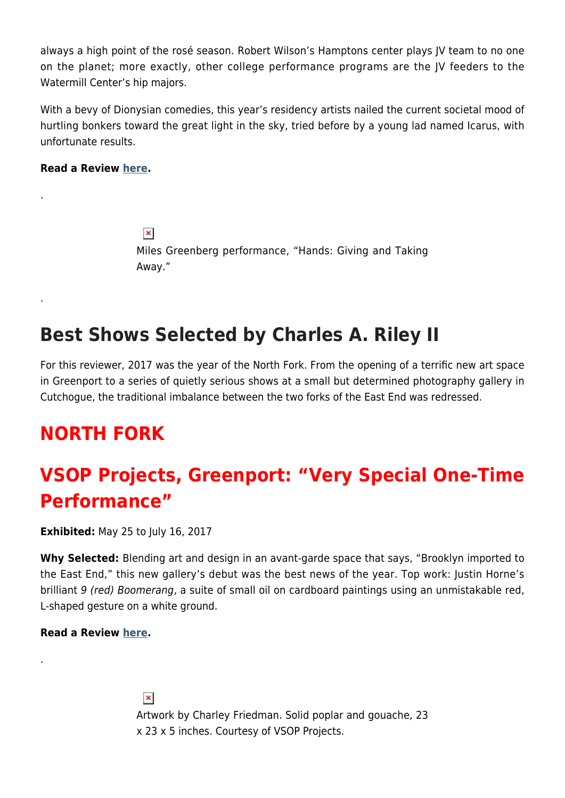always a high point of the rosé season. Robert Wilson's Hamptons center plays JV team to no one on the planet; more exactly, other college performance programs are the JV feeders to the Watermill Center's hip majors.

With a bevy of Dionysian comedies, this year's residency artists nailed the current societal mood of hurtling bonkers toward the great light in the sky, tried before by a young lad named Icarus, with unfortunate results.

#### **Read a Review [here.](https://hamptonsarthub.com/2017/08/03/critics-view-performance-art-at-watermill-center-gala-prods-consciousness-through-action-not-theory/)**

.

.

 $\pmb{\times}$ Miles Greenberg performance, "Hands: Giving and Taking Away."

### **Best Shows Selected by Charles A. Riley II**

For this reviewer, 2017 was the year of the North Fork. From the opening of a terrific new art space in Greenport to a series of quietly serious shows at a small but determined photography gallery in Cutchogue, the traditional imbalance between the two forks of the East End was redressed.

### **NORTH FORK**

## **VSOP Projects, Greenport: "Very Special One-Time Performance"**

**Exhibited:** May 25 to July 16, 2017

**Why Selected:** Blending art and design in an avant-garde space that says, "Brooklyn imported to the East End," this new gallery's debut was the best news of the year. Top work: Justin Horne's brilliant 9 (red) Boomerang, a suite of small oil on cardboard paintings using an unmistakable red, L-shaped gesture on a white ground.

#### **Read a Review [here.](https://hamptonsarthub.com/2017/06/29/reviews-art-review-vsop-projectss-debut-show-brings-unexpected-aesthetic-to-greenport/)**

.

 $\pmb{\times}$ Artwork by Charley Friedman. Solid poplar and gouache, 23 x 23 x 5 inches. Courtesy of VSOP Projects.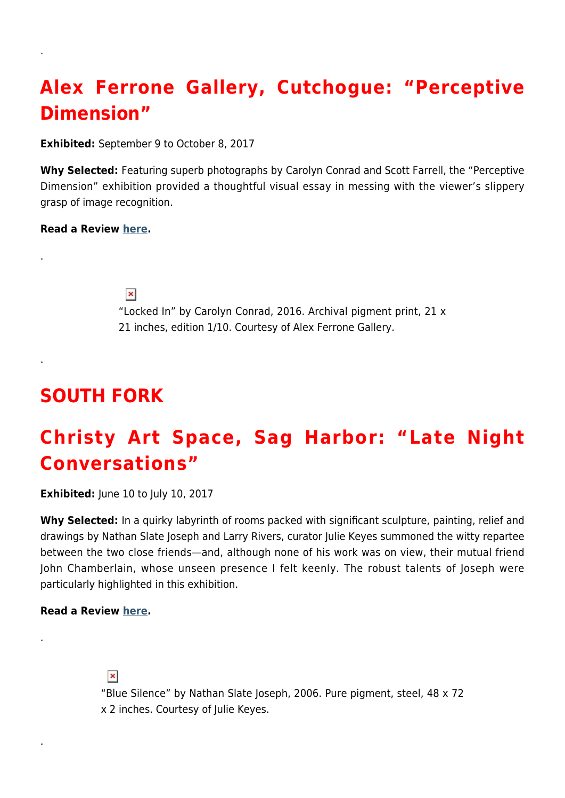# **Alex Ferrone Gallery, Cutchogue: "Perceptive Dimension"**

**Exhibited:** September 9 to October 8, 2017

**Why Selected:** Featuring superb photographs by Carolyn Conrad and Scott Farrell, the "Perceptive Dimension" exhibition provided a thoughtful visual essay in messing with the viewer's slippery grasp of image recognition.

#### **Read a Review [here.](https://hamptonsarthub.com/2017/09/28/reviews-art-review-photography-using-the-soft-power-of-art-to-thwart-the-expected/)**

.

.

.

.

.

 $\pmb{\times}$ 

"Locked In" by Carolyn Conrad, 2016. Archival pigment print, 21 x 21 inches, edition 1/10. Courtesy of Alex Ferrone Gallery.

### **SOUTH FORK**

### **Christy Art Space, Sag Harbor: "Late Night Conversations"**

**Exhibited:** June 10 to July 10, 2017

**Why Selected:** In a quirky labyrinth of rooms packed with significant sculpture, painting, relief and drawings by Nathan Slate Joseph and Larry Rivers, curator Julie Keyes summoned the witty repartee between the two close friends—and, although none of his work was on view, their mutual friend John Chamberlain, whose unseen presence I felt keenly. The robust talents of Joseph were particularly highlighted in this exhibition.

#### **Read a Review [here.](https://hamptonsarthub.com/2017/06/28/reviews-art-review-works-by-rivers-and-joseph-trace-the-path-to-brilliance/)**

 $\pmb{\times}$ 

"Blue Silence" by Nathan Slate Joseph, 2006. Pure pigment, steel, 48 x 72 x 2 inches. Courtesy of Julie Keyes.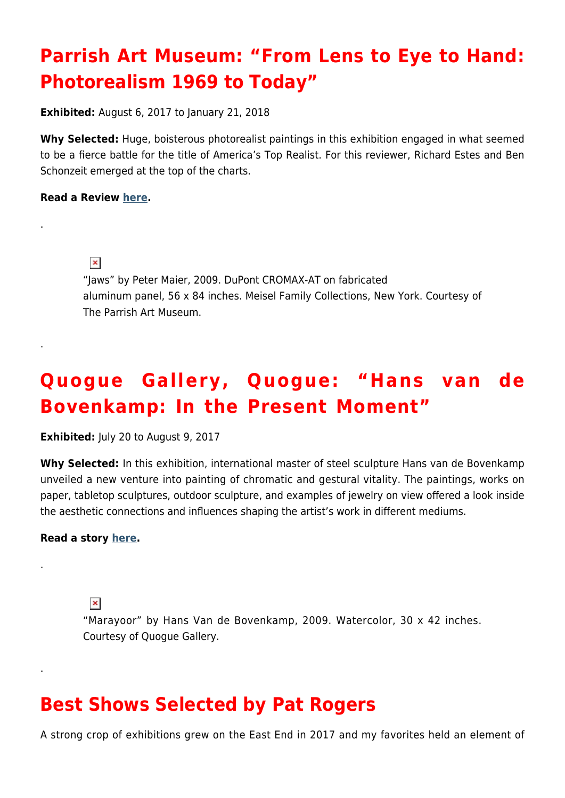## **Parrish Art Museum: "From Lens to Eye to Hand: Photorealism 1969 to Today"**

**Exhibited:** August 6, 2017 to January 21, 2018

**Why Selected:** Huge, boisterous photorealist paintings in this exhibition engaged in what seemed to be a fierce battle for the title of America's Top Realist. For this reviewer, Richard Estes and Ben Schonzeit emerged at the top of the charts.

#### **Read a Review [here.](https://hamptonsarthub.com/2017/09/26/reviews-art-review-the-mystery-and-magic-of-photorealism-at-parrish-art-museum/)**

.

.

.

.

 $\pmb{\times}$ 

"Jaws" by Peter Maier, 2009. DuPont CROMAX-AT on fabricated aluminum panel, 56 x 84 inches. Meisel Family Collections, New York. Courtesy of The Parrish Art Museum.

## **Quogue Gallery, Quogue: "Hans van de Bovenkamp: In the Present Moment"**

**Exhibited:** July 20 to August 9, 2017

**Why Selected:** In this exhibition, international master of steel sculpture Hans van de Bovenkamp unveiled a new venture into painting of chromatic and gestural vitality. The paintings, works on paper, tabletop sculptures, outdoor sculpture, and examples of jewelry on view offered a look inside the aesthetic connections and influences shaping the artist's work in different mediums.

#### **Read a story [here.](https://hamptonsarthub.com/2017/07/20/exhibitions-hans-van-de-bovenkamp-in-the-present-moment-opens-at-quogue-gallery/)**

 $\pmb{\times}$ 

"Marayoor" by Hans Van de Bovenkamp, 2009. Watercolor, 30 x 42 inches. Courtesy of Quogue Gallery.

### **Best Shows Selected by Pat Rogers**

A strong crop of exhibitions grew on the East End in 2017 and my favorites held an element of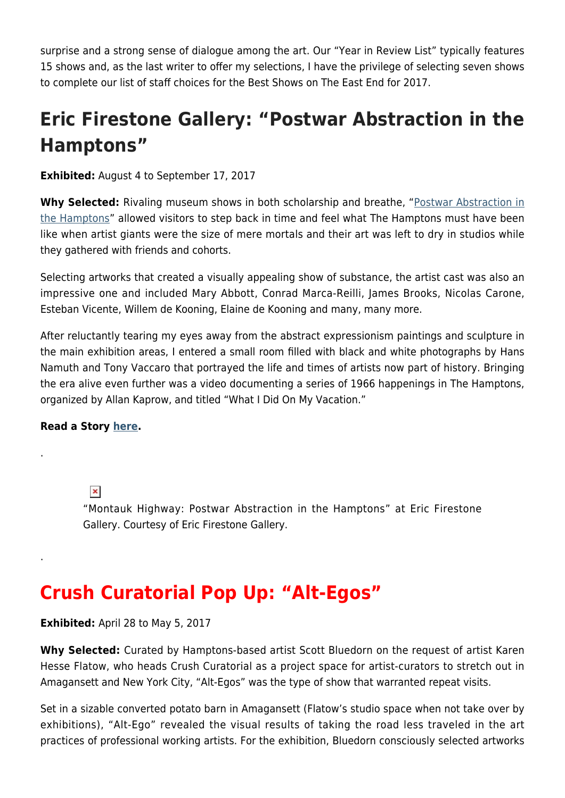surprise and a strong sense of dialogue among the art. Our "Year in Review List" typically features 15 shows and, as the last writer to offer my selections, I have the privilege of selecting seven shows to complete our list of staff choices for the Best Shows on The East End for 2017.

# **Eric Firestone Gallery: "Postwar Abstraction in the Hamptons"**

**Exhibited:** August 4 to September 17, 2017

**Why Selected:** Rivaling museum shows in both scholarship and breathe, ["Postwar Abstraction in](https://www.ericfirestonegallery.com/exhibitions/montauk-highway-postwar-abstraction-in-the-hamptons) [the Hamptons"](https://www.ericfirestonegallery.com/exhibitions/montauk-highway-postwar-abstraction-in-the-hamptons) allowed visitors to step back in time and feel what The Hamptons must have been like when artist giants were the size of mere mortals and their art was left to dry in studios while they gathered with friends and cohorts.

Selecting artworks that created a visually appealing show of substance, the artist cast was also an impressive one and included Mary Abbott, Conrad Marca-Reilli, James Brooks, Nicolas Carone, Esteban Vicente, Willem de Kooning, Elaine de Kooning and many, many more.

After reluctantly tearing my eyes away from the abstract expressionism paintings and sculpture in the main exhibition areas, I entered a small room filled with black and white photographs by Hans Namuth and Tony Vaccaro that portrayed the life and times of artists now part of history. Bringing the era alive even further was a video documenting a series of 1966 happenings in The Hamptons, organized by Allan Kaprow, and titled "What I Did On My Vacation."

#### **Read a Story [here](https://hamptonsarthub.com/2017/08/01/exhibitions-montauk-highway-postwar-abstraction-in-the-hamptons-opens-at-eric-firestone-gallery/).**

.

.

 $\pmb{\times}$ 

"Montauk Highway: Postwar Abstraction in the Hamptons" at Eric Firestone Gallery. Courtesy of Eric Firestone Gallery.

### **Crush Curatorial Pop Up: "Alt-Egos"**

#### **Exhibited:** April 28 to May 5, 2017

**Why Selected:** Curated by Hamptons-based artist Scott Bluedorn on the request of artist Karen Hesse Flatow, who heads Crush Curatorial as a project space for artist-curators to stretch out in Amagansett and New York City, "Alt-Egos" was the type of show that warranted repeat visits.

Set in a sizable converted potato barn in Amagansett (Flatow's studio space when not take over by exhibitions), "Alt-Ego" revealed the visual results of taking the road less traveled in the art practices of professional working artists. For the exhibition, Bluedorn consciously selected artworks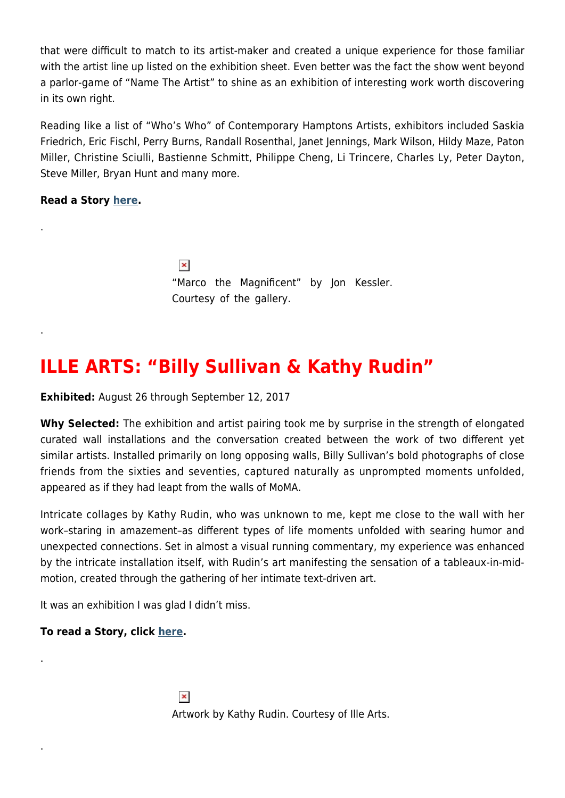that were difficult to match to its artist-maker and created a unique experience for those familiar with the artist line up listed on the exhibition sheet. Even better was the fact the show went beyond a parlor-game of "Name The Artist" to shine as an exhibition of interesting work worth discovering in its own right.

Reading like a list of "Who's Who" of Contemporary Hamptons Artists, exhibitors included Saskia Friedrich, Eric Fischl, Perry Burns, Randall Rosenthal, Janet Jennings, Mark Wilson, Hildy Maze, Paton Miller, Christine Sciulli, Bastienne Schmitt, Philippe Cheng, Li Trincere, Charles Ly, Peter Dayton, Steve Miller, Bryan Hunt and many more.

**Read a Story [here](https://hamptonsarthub.com/2017/05/26/exhibitions-the-art-short-list-for-memorial-day-weekend-for-the-hamptons-east-end/).**

.

.

.

.

 $\pmb{\times}$ "Marco the Magnificent" by Jon Kessler. Courtesy of the gallery.

### **ILLE ARTS: "Billy Sullivan & Kathy Rudin"**

**Exhibited:** August 26 through September 12, 2017

**Why Selected:** The exhibition and artist pairing took me by surprise in the strength of elongated curated wall installations and the conversation created between the work of two different yet similar artists. Installed primarily on long opposing walls, Billy Sullivan's bold photographs of close friends from the sixties and seventies, captured naturally as unprompted moments unfolded, appeared as if they had leapt from the walls of MoMA.

Intricate collages by Kathy Rudin, who was unknown to me, kept me close to the wall with her work–staring in amazement–as different types of life moments unfolded with searing humor and unexpected connections. Set in almost a visual running commentary, my experience was enhanced by the intricate installation itself, with Rudin's art manifesting the sensation of a tableaux-in-midmotion, created through the gathering of her intimate text-driven art.

It was an exhibition I was glad I didn't miss.

**To read a Story, click [here.](https://hamptonsarthub.com/2017/09/03/exhibitions-top-17-hamptons-art-shows-to-see-right-now/)**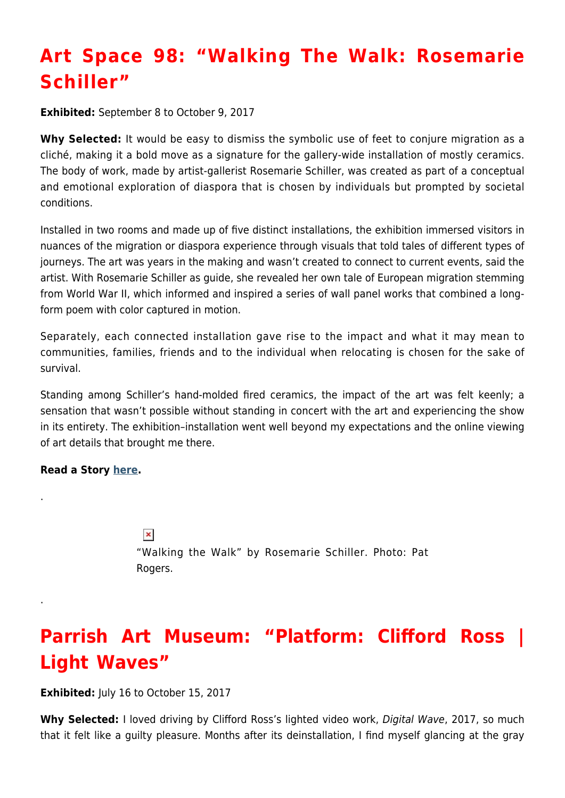# **Art Space 98: "Walking The Walk: Rosemarie Schiller"**

**Exhibited:** September 8 to October 9, 2017

Why Selected: It would be easy to dismiss the symbolic use of feet to conjure migration as a cliché, making it a bold move as a signature for the gallery-wide installation of mostly ceramics. The body of work, made by artist-gallerist Rosemarie Schiller, was created as part of a conceptual and emotional exploration of diaspora that is chosen by individuals but prompted by societal conditions.

Installed in two rooms and made up of five distinct installations, the exhibition immersed visitors in nuances of the migration or diaspora experience through visuals that told tales of different types of journeys. The art was years in the making and wasn't created to connect to current events, said the artist. With Rosemarie Schiller as guide, she revealed her own tale of European migration stemming from World War II, which informed and inspired a series of wall panel works that combined a longform poem with color captured in motion.

Separately, each connected installation gave rise to the impact and what it may mean to communities, families, friends and to the individual when relocating is chosen for the sake of survival.

Standing among Schiller's hand-molded fired ceramics, the impact of the art was felt keenly; a sensation that wasn't possible without standing in concert with the art and experiencing the show in its entirety. The exhibition–installation went well beyond my expectations and the online viewing of art details that brought me there.

#### **Read a Story [here](https://hamptonsarthub.com/2017/09/05/exhibitions-rosemarie-schiller-walking-the-walk-opens-at-art-space-98-on-september-8-2017/).**

.

.

 $\pmb{\times}$ "Walking the Walk" by Rosemarie Schiller. Photo: Pat Rogers.

## **Parrish Art Museum: "Platform: Clifford Ross | Light Waves"**

**Exhibited:** July 16 to October 15, 2017

**Why Selected:** I loved driving by Clifford Ross's lighted video work, Digital Wave, 2017, so much that it felt like a guilty pleasure. Months after its deinstallation, I find myself glancing at the gray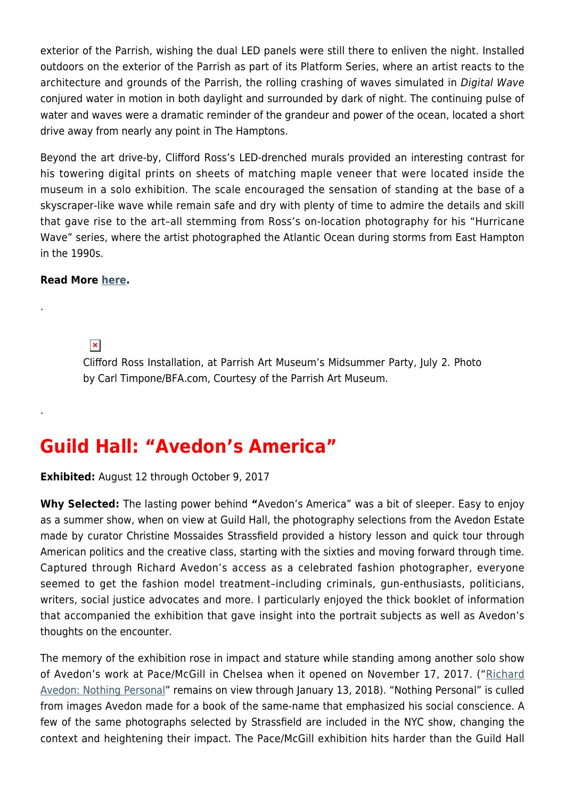exterior of the Parrish, wishing the dual LED panels were still there to enliven the night. Installed outdoors on the exterior of the Parrish as part of its Platform Series, where an artist reacts to the architecture and grounds of the Parrish, the rolling crashing of waves simulated in Digital Wave conjured water in motion in both daylight and surrounded by dark of night. The continuing pulse of water and waves were a dramatic reminder of the grandeur and power of the ocean, located a short drive away from nearly any point in The Hamptons.

Beyond the art drive-by, Clifford Ross's LED-drenched murals provided an interesting contrast for his towering digital prints on sheets of matching maple veneer that were located inside the museum in a solo exhibition. The scale encouraged the sensation of standing at the base of a skyscraper-like wave while remain safe and dry with plenty of time to admire the details and skill that gave rise to the art–all stemming from Ross's on-location photography for his "Hurricane Wave" series, where the artist photographed the Atlantic Ocean during storms from East Hampton in the 1990s.

#### **Read More [here](https://hamptonsarthub.com/2017/07/13/exhibitions-10-hamptons-art-highlights-for-july-2017/).**

.

.

 $\pmb{\times}$ 

Clifford Ross Installation, at Parrish Art Museum's Midsummer Party, July 2. Photo by Carl Timpone/BFA.com, Courtesy of the Parrish Art Museum.

### **Guild Hall: "Avedon's America"**

**Exhibited:** August 12 through October 9, 2017

**Why Selected:** The lasting power behind **"**Avedon's America" was a bit of sleeper. Easy to enjoy as a summer show, when on view at Guild Hall, the photography selections from the Avedon Estate made by curator Christine Mossaides Strassfield provided a history lesson and quick tour through American politics and the creative class, starting with the sixties and moving forward through time. Captured through Richard Avedon's access as a celebrated fashion photographer, everyone seemed to get the fashion model treatment–including criminals, gun-enthusiasts, politicians, writers, social justice advocates and more. I particularly enjoyed the thick booklet of information that accompanied the exhibition that gave insight into the portrait subjects as well as Avedon's thoughts on the encounter.

The memory of the exhibition rose in impact and stature while standing among another solo show of Avedon's work at Pace/McGill in Chelsea when it opened on November 17, 2017. (["Richard](http://www.pacemacgill.com/) [Avedon: Nothing Personal](http://www.pacemacgill.com/)" remains on view through January 13, 2018). "Nothing Personal" is culled from images Avedon made for a book of the same-name that emphasized his social conscience. A few of the same photographs selected by Strassfield are included in the NYC show, changing the context and heightening their impact. The Pace/McGill exhibition hits harder than the Guild Hall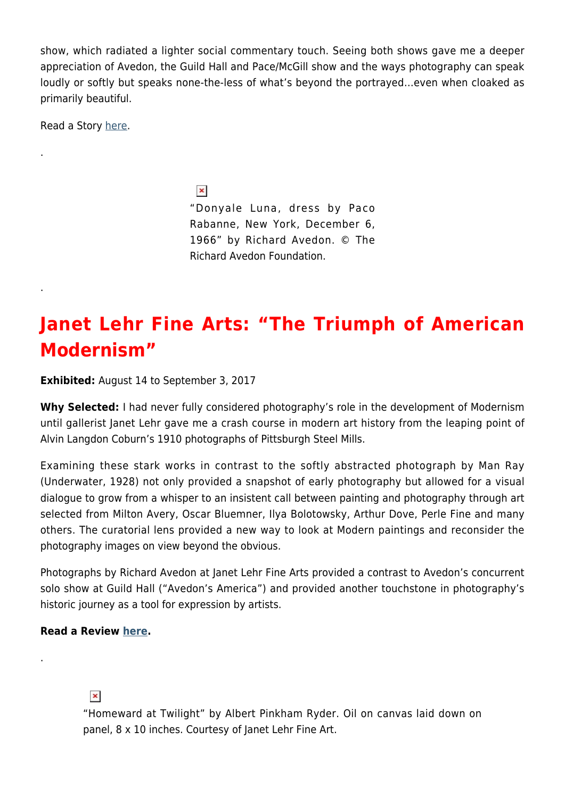show, which radiated a lighter social commentary touch. Seeing both shows gave me a deeper appreciation of Avedon, the Guild Hall and Pace/McGill show and the ways photography can speak loudly or softly but speaks none-the-less of what's beyond the portrayed…even when cloaked as primarily beautiful.

Read a Story [here](https://hamptonsarthub.com/2017/09/03/exhibitions-top-17-hamptons-art-shows-to-see-right-now/).

.

.

 $\pmb{\times}$ "Donyale Luna, dress by Paco Rabanne, New York, December 6, 1966" by Richard Avedon. © The Richard Avedon Foundation.

### **Janet Lehr Fine Arts: "The Triumph of American Modernism"**

**Exhibited:** August 14 to September 3, 2017

**Why Selected:** I had never fully considered photography's role in the development of Modernism until gallerist Janet Lehr gave me a crash course in modern art history from the leaping point of Alvin Langdon Coburn's 1910 photographs of Pittsburgh Steel Mills.

Examining these stark works in contrast to the softly abstracted photograph by Man Ray (Underwater, 1928) not only provided a snapshot of early photography but allowed for a visual dialogue to grow from a whisper to an insistent call between painting and photography through art selected from Milton Avery, Oscar Bluemner, Ilya Bolotowsky, Arthur Dove, Perle Fine and many others. The curatorial lens provided a new way to look at Modern paintings and reconsider the photography images on view beyond the obvious.

Photographs by Richard Avedon at Janet Lehr Fine Arts provided a contrast to Avedon's concurrent solo show at Guild Hall ("Avedon's America") and provided another touchstone in photography's historic journey as a tool for expression by artists.

#### **Read a Review [here.](https://hamptonsarthub.com/2017/09/08/reviews-art-review-birth-of-modernism-explored-in-painting-and-photography-at-lehr/)**

.

#### $\pmb{\times}$

"Homeward at Twilight" by Albert Pinkham Ryder. Oil on canvas laid down on panel, 8 x 10 inches. Courtesy of Janet Lehr Fine Art.